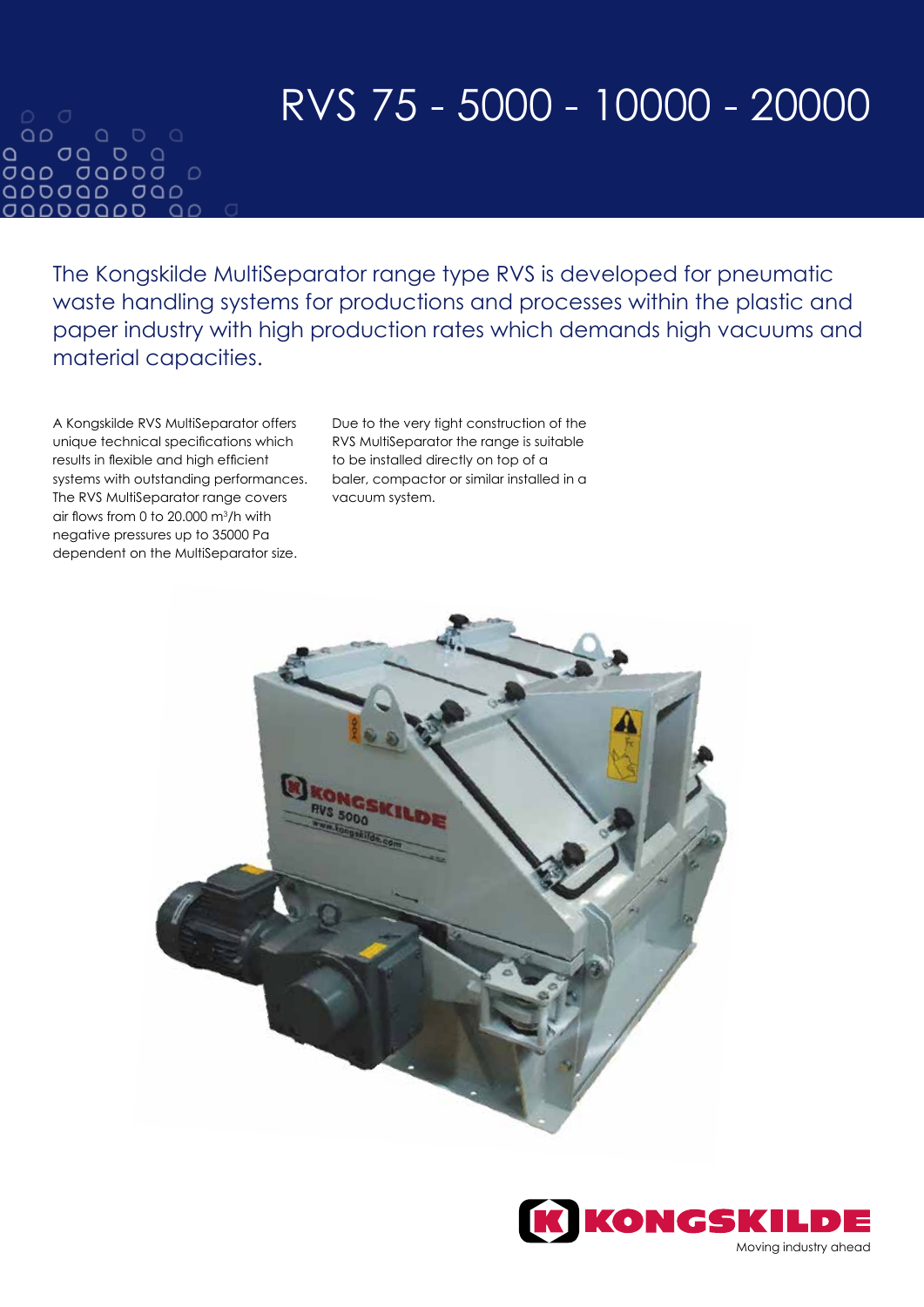# RVS 75 - 5000 - 10000 - 20000

 $\bigcirc$   $\bigcirc$  $\begin{array}{ccccccccc}\n0 & 0 & 0 & \n\end{array}$  $\Omega$  $\Omega$  $OO$   $O$   $O$ OQD 0QDDO D QDDJQD JQD *OQDDOQD*  $\cap$ 

> The Kongskilde MultiSeparator range type RVS is developed for pneumatic waste handling systems for productions and processes within the plastic and paper industry with high production rates which demands high vacuums and material capacities.

A Kongskilde RVS MultiSeparator offers unique technical specifications which results in flexible and high efficient systems with outstanding performances. The RVS MultiSeparator range covers air flows from 0 to 20.000  $\mathrm{m}^3/\mathrm{h}$  with negative pressures up to 35000 Pa dependent on the MultiSeparator size.

Due to the very tight construction of the RVS MultiSeparator the range is suitable to be installed directly on top of a baler, compactor or similar installed in a vacuum system.



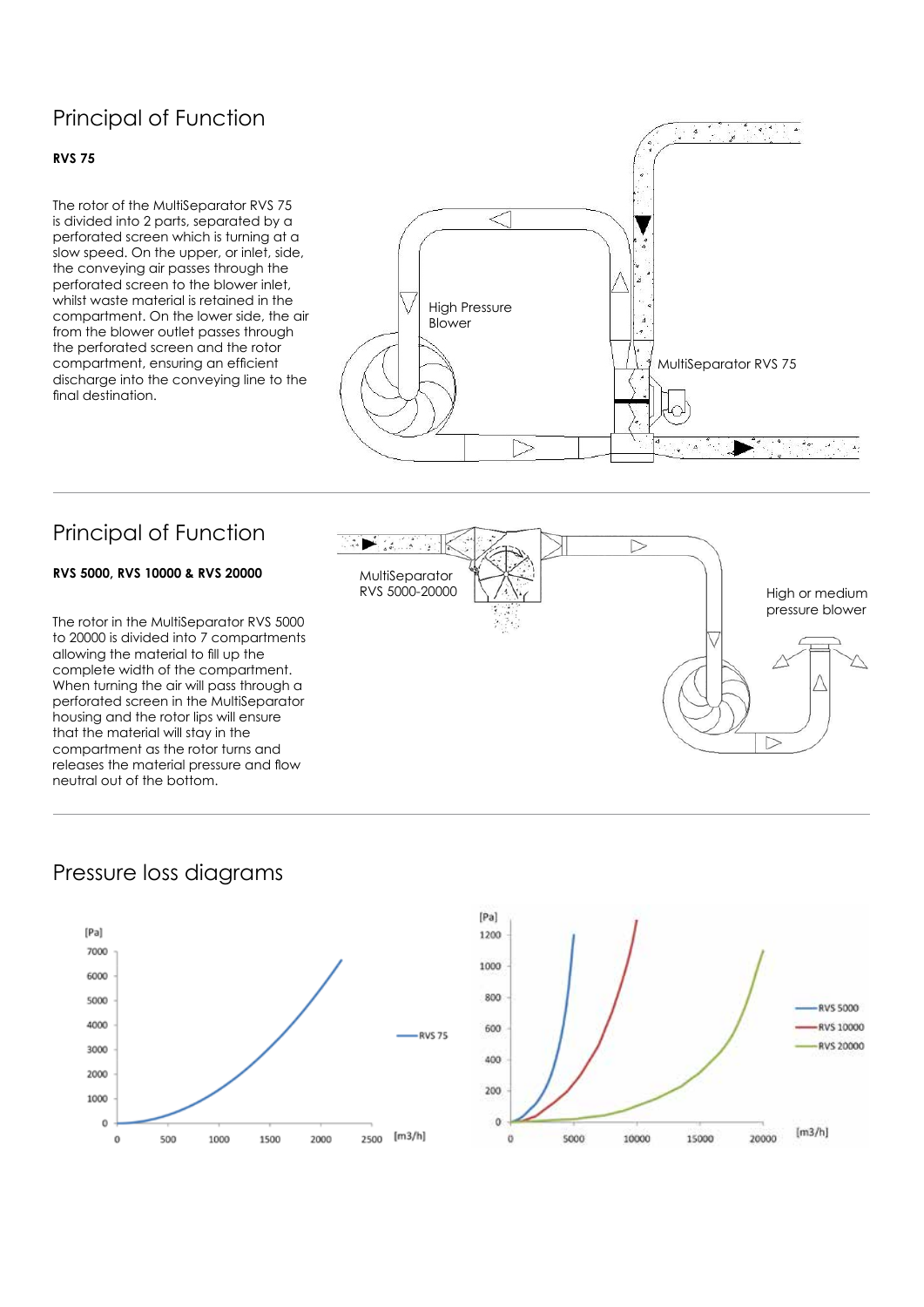# Principal of Function

#### **RVS 75**

The rotor of the MultiSeparator RVS 75 is divided into 2 parts, separated by a perforated screen which is turning at a slow speed. On the upper, or inlet, side, the conveying air passes through the perforated screen to the blower inlet, whilst waste material is retained in the compartment. On the lower side, the air from the blower outlet passes through the perforated screen and the rotor compartment, ensuring an efficient discharge into the conveying line to the final destination.



# Principal of Function

#### **RVS 5000, RVS 10000 & RVS 20000**

The rotor in the MultiSeparator RVS 5000 to 20000 is divided into 7 compartments allowing the material to fill up the complete width of the compartment. When turning the air will pass through a perforated screen in the MultiSeparator housing and the rotor lips will ensure that the material will stay in the compartment as the rotor turns and releases the material pressure and flow neutral out of the bottom.



### Pressure loss diagrams



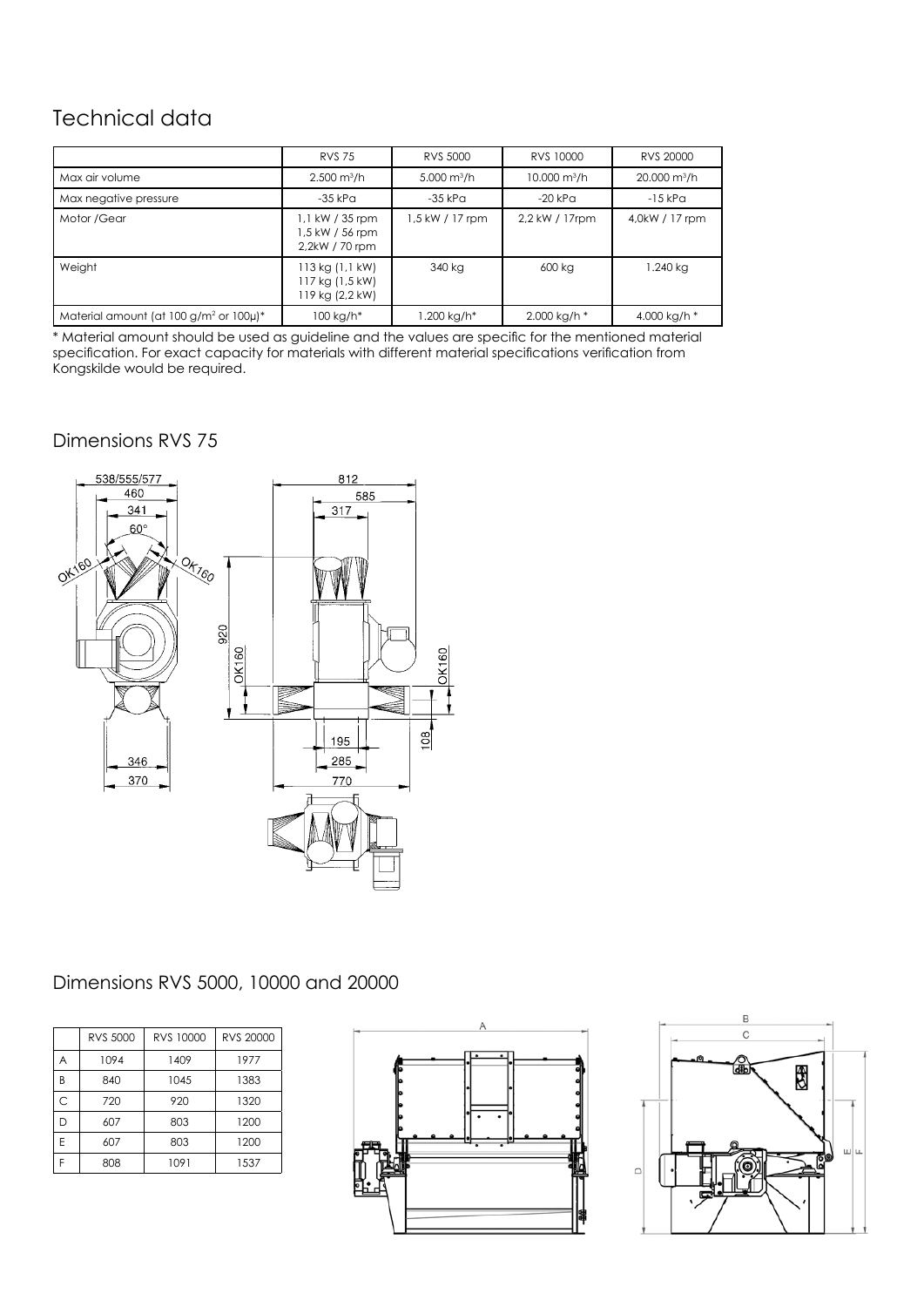# Technical data

|                                                            | <b>RVS 75</b>                                        | RVS 5000              | RVS 10000              | RVS 20000                  |
|------------------------------------------------------------|------------------------------------------------------|-----------------------|------------------------|----------------------------|
| Max air volume                                             | $2.500 \text{ m}^3/h$                                | $5.000 \text{ m}^3/h$ | $10,000 \text{ m}^3/h$ | $20.000$ m <sup>3</sup> /h |
| Max negative pressure                                      | -35 kPa                                              | $-35$ kPa             | $-20$ kPa              | $-15$ kP $\alpha$          |
| Motor / Gear                                               | 1,1 kW / 35 rpm<br>1,5 kW / 56 rpm<br>2,2kW / 70 rpm | 1,5 kW / 17 rpm       | 2,2 kW / 17rpm         | 4,0kW / 17 rpm             |
| Weight                                                     | 113 kg (1,1 kW)<br>117 kg (1,5 kW)<br>19 kg (2,2 kW) | 340 kg                | 600 kg                 | 1.240 kg                   |
| Material amount (at $100$ g/m <sup>2</sup> or $100 \mu$ )* | $100 kg/h*$                                          | 1.200 kg/h*           | 2.000 kg/h *           | 4.000 kg/h *               |

\* Material amount should be used as guideline and the values are specific for the mentioned material specification. For exact capacity for materials with different material specifications verification from Kongskilde would be required.

#### Dimensions RVS 75



## Dimensions RVS 5000, 10000 and 20000

|   | RVS 5000 | RVS 10000 | RVS 20000 |
|---|----------|-----------|-----------|
| Α | 1094     | 1409      | 1977      |
| B | 840      | 1045      | 1383      |
| C | 720      | 920       | 1320      |
| D | 607      | 803       | 1200      |
| F | 607      | 803       | 1200      |
| F | 808      | 1091      | 1537      |